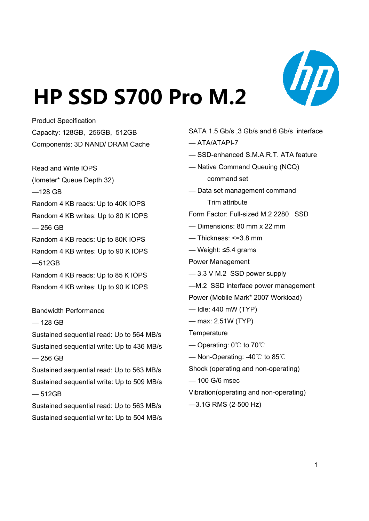

# **HP SSD S700 Pro M.2 SSD S700**

Product Specification Capacity: 128GB, 256GB, 512GB Components: 3D NAND/ DRAM Cache

Read and Write IOPS — Native Command Queuing (NCQ)<br>(Iometer\* Queue Depth 32) command set (Iometer\* Queue Depth 32) —128 GB Random 4 KB reads: Up to 40K IOPS Random 4 KB writes: Up to 80 K IOPS  $-256$  GB 256 — Dimensions: 80 mm x 22 mm e so s 80 Random 4 KB reads: Up to 80K IOPS Random 4 KB writes: Up to 90 K IOPS —512GB Random 4 KB reads: Up to 85 K IOPS Random 4 KB writes: Up to 90 K IOPS

Bandwidth Performance

— 128 GB

Sustained sequential read: Up to 564 MB/s Sustained sequential write: Up to 436 MB/s  $-256$  GB — 256 GB  $-$  256 GB

Sustained sequential read: Up to 563 MB/s Sustained sequential write: Up to 509 MB/s — 512GB

Sustained sequential read: Up to 563 MB/s Sustained sequential write: Up to 504 MB/s

SATA 1.5 Gb/s ,3 Gb/s and 6 Gb/s interface

- $-$  ATA/ATAPI-7
- SSD-enhanced S.M.A.R.T. ATA feature
- 
- Data set management command Trim attribute

Form Factor: Full-sized M.2 2280 SSD

- 
- Thickness: <=3.8 mm

— Weight: ≤5.4 grams

Power Management

- 3.3 V M.2 SSD power supply
- —M.2 SSD interface power management

Power (Mobile Mark\* 2007 Workload)

- Idle: 440 mW (TYP)
- max: 2.51W (TYP)

**Temperature** 

- Operating: 0℃ to 70℃
- 

Shock (operating and non-operating)

— 100 G/6 msec

Vibration(operating and non-operating)

—3.1G RMS (2-500 Hz)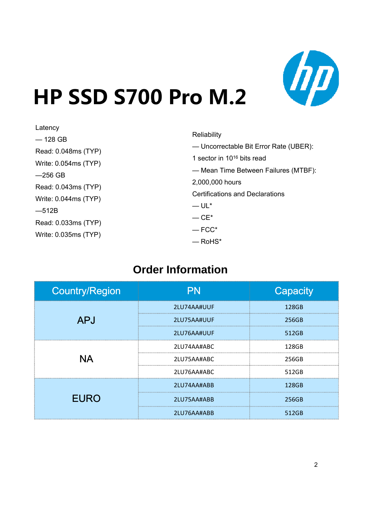

# **HP SSD S700 Pro M.2 SSD S700**

| Latency                |                                        |
|------------------------|----------------------------------------|
|                        | Reliability                            |
| $-128$ GB              | - Uncorrectable Bit Error Rate (UBER): |
| Read: 0.048ms (TYP)    |                                        |
| Write: $0.054ms$ (TYP) | 1 sector in $10^{16}$ bits read        |
|                        | - Mean Time Between Failures (MTBF):   |
| $-256$ GB              | 2,000,000 hours                        |
| Read: 0.043ms (TYP)    |                                        |
| Write: $0.044ms$ (TYP) | <b>Certifications and Declarations</b> |
|                        | $-UL^*$                                |
| $-512B$                | $-CE^*$                                |
| Read: 0.033ms (TYP)    |                                        |
| Write: 0.035ms (TYP)   | $-$ FCC*                               |
|                        | $-$ RoHS*                              |

# **Order Information**

| <b>Country/Region</b> | PN          | Capacity |
|-----------------------|-------------|----------|
|                       | 2LU74AA#UUF | 128GB    |
| <b>APJ</b>            | 2LU75AA#UUF | 256GB    |
|                       | 2LU76AA#UUF | 512GB    |
| ΝA                    | 2LU74AA#ABC | 128GB    |
|                       | 2LU75AA#ABC | 256GB    |
|                       | 2LU76AA#ABC | 512GB    |
|                       | 2LU74AA#ABB | 128GB    |
| <b>EURO</b>           | 2LU75AA#ABB | 256GB    |
|                       | 2LU76AA#ABB | 512GB    |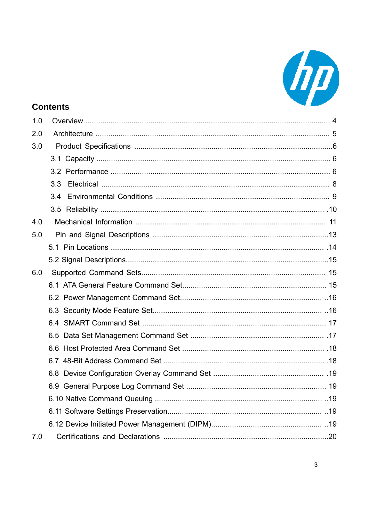

## **Contents**

| 1.0 |     |  |
|-----|-----|--|
| 2.0 |     |  |
| 3.0 |     |  |
|     |     |  |
|     |     |  |
|     | 3.3 |  |
|     | 3.4 |  |
|     |     |  |
| 4.0 |     |  |
| 5.0 |     |  |
|     |     |  |
|     |     |  |
| 6.0 |     |  |
|     |     |  |
|     |     |  |
|     |     |  |
|     |     |  |
|     |     |  |
|     |     |  |
|     |     |  |
|     |     |  |
|     |     |  |
|     |     |  |
|     |     |  |
|     |     |  |
| 7.0 |     |  |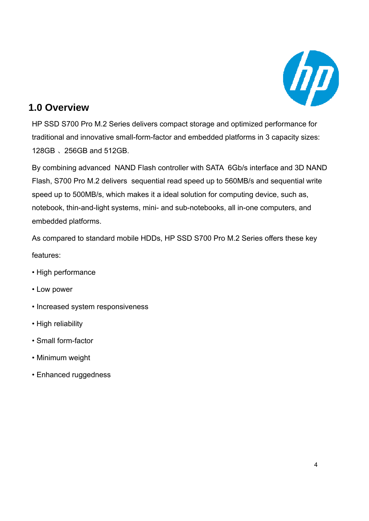

## **1.0 Overview**

HP SSD S700 Pro M.2 Series delivers compact storage and optimized performance for traditional and innovative small-form-factor and embedded platforms in 3 capacity sizes: 128GB 、256GB and 512GB.

By combining advanced NAND Flash controller with SATA 6Gb/s interface and 3D NAND Flash, S700 Pro M.2 delivers sequential read speed up to 560MB/s and sequential write speed up to 500MB/s, which makes it a ideal solution for computing device, such as, notebook, thin-and-light systems, mini- and sub-notebooks, all in-one computers, and embedded platforms.

As compared to standard mobile HDDs, HP SSD S700 Pro M.2 Series offers these key features:

- High performance
- Low power
- Increased system responsiveness
- High reliability
- Small form-factor
- Minimum weight
- Enhanced ruggedness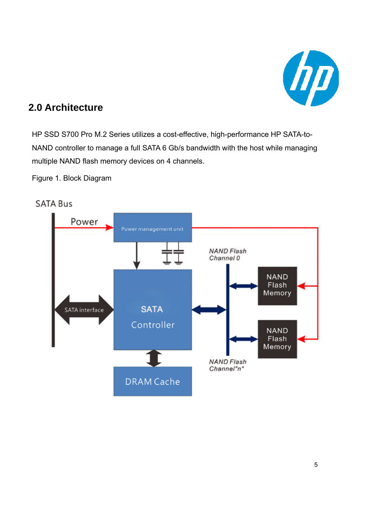

## **2.0 Architecture**

HP SSD S700 Pro M.2 Series utilizes a cost-effective, high-performance HP SATA-to-NAND controller to manage a full SATA 6 Gb/s bandwidth with the host while managing multiple NAND flash memory devices on 4 channels.

Figure 1. Block Diagram

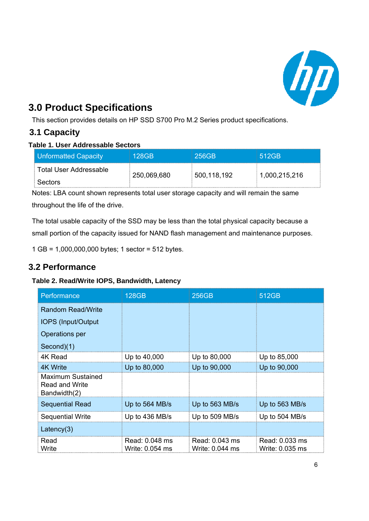

# **3.0 Product Specifications**

This section provides details on HP SSD S700 Pro M.2 Series product specifications.

## **3.1 Capacity**

#### **Table 1. User Addressable Sectors**

| Unformatted Capacity     | 128GB       | $1256$ GB                 | 1512GB        |
|--------------------------|-------------|---------------------------|---------------|
| ∶ Total User Addressable | 250,069,680 | $\frac{1}{2}$ 500,118,192 | 1,000,215,216 |
| : Sectors                |             |                           |               |

Notes: LBA count shown represents total user storage capacity and will remain the same throughout the life of the drive.

The total usable capacity of the SSD may be less than the total physical capacity because a small portion of the capacity issued for NAND flash management and maintenance purposes.

1 GB = 1,000,000,000 bytes; 1 sector = 512 bytes.

## **3.2 Performance**

#### **Table 2. Read/Write IOPS, Bandwidth, Latency**

| Performance                                                       | <b>128GB</b>                      | <b>256GB</b>                      | 512GB                             |
|-------------------------------------------------------------------|-----------------------------------|-----------------------------------|-----------------------------------|
| <b>Random Read/Write</b>                                          |                                   |                                   |                                   |
| <b>IOPS (Input/Output)</b>                                        |                                   |                                   |                                   |
| Operations per                                                    |                                   |                                   |                                   |
| Second)(1)                                                        |                                   |                                   |                                   |
| 4K Read                                                           | Up to 40,000                      | Up to 80,000                      | Up to 85,000                      |
| 4K Write                                                          | Up to 80,000                      | Up to 90,000                      | Up to 90,000                      |
| <b>Maximum Sustained</b><br><b>Read and Write</b><br>Bandwidth(2) |                                   |                                   |                                   |
| <b>Sequential Read</b>                                            | Up to $564$ MB/s                  | Up to 563 MB/s                    | Up to 563 MB/s                    |
| <b>Sequential Write</b>                                           | Up to 436 MB/s                    | Up to 509 MB/s                    | Up to 504 MB/s                    |
| Latency $(3)$                                                     |                                   |                                   |                                   |
| Read<br>Write                                                     | Read: 0.048 ms<br>Write: 0.054 ms | Read: 0.043 ms<br>Write: 0.044 ms | Read: 0.033 ms<br>Write: 0.035 ms |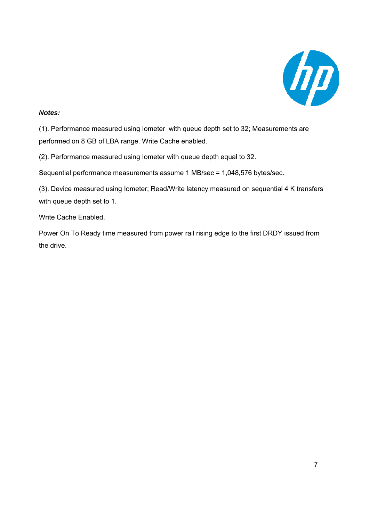

#### *Notes:*

(1). Performance measured using Iometer with queue depth set to 32; Measurements are performed on 8 GB of LBA range. Write Cache enabled.

(2). Performance measured using Iometer with queue depth equal to 32.

Sequential performance measurements assume 1 MB/sec = 1,048,576 bytes/sec.

(3). Device measured using Iometer; Read/Write latency measured on sequential 4 K transfers with queue depth set to 1.

Write Cache Enabled.

Power On To Ready time measured from power rail rising edge to the first DRDY issued from the drive.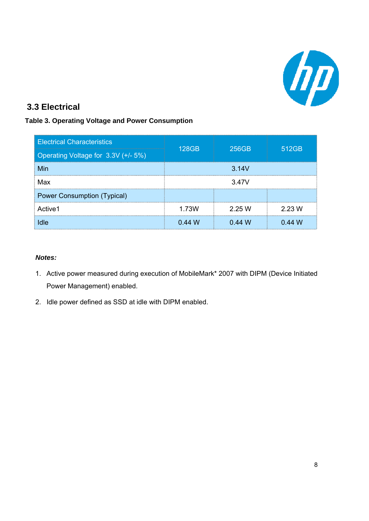

## **3.3 Electrical**

#### **Table 3. Operating Voltage and Power Consumption**

| <b>Electrical Characteristics</b>   | <b>128GB</b> | 256GB  | 512GB  |  |
|-------------------------------------|--------------|--------|--------|--|
| Operating Voltage for 3.3V (+/- 5%) |              |        |        |  |
| Min                                 | 3.14V        |        |        |  |
| Max                                 | 3.47V        |        |        |  |
| <b>Power Consumption (Typical)</b>  |              |        |        |  |
| Active1                             | 1.73W        | 2.25 W | 2.23 W |  |
| Idle                                | 0.44W        | 0.44 W | 0.44M  |  |

#### *Notes:*

- 1. Active power measured during execution of MobileMark\* 2007 with DIPM (Device Initiated Power Management) enabled.
- 2. Idle power defined as SSD at idle with DIPM enabled.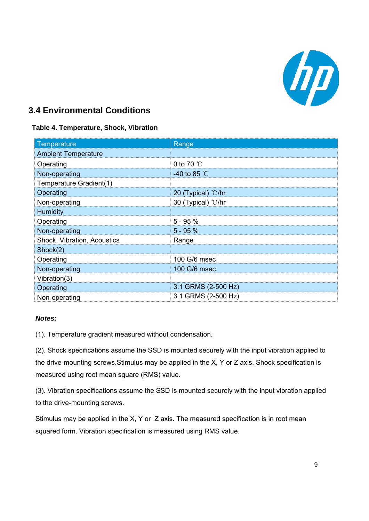

## **3.4 Environmental Conditions**

#### **Table 4. Temperature, Shock, Vibration**

| Temperature                 | Range                 |
|-----------------------------|-----------------------|
| <b>Ambient Temperature</b>  |                       |
| Operating                   | 0 to 70 $\degree$ C   |
| Non-operating               | -40 to 85 $\degree$ C |
| Temperature Gradient(1)     |                       |
| Operating                   | 20 (Typical) °C/hr    |
| Non-operating               | 30 (Typical) °C/hr    |
| Humidity                    |                       |
| Operating                   | $5 - 95%$             |
| Non-operating               | $5 - 95%$             |
| Shock, Vibration, Acoustics | Range                 |
| Shock(2)                    |                       |
| Operating                   | 100 G/6 msec          |
| Non-operating               | 100 G/6 msec          |
| Vibration(3)                |                       |
| Operating                   | 3.1 GRMS (2-500 Hz)   |
| Non-operating               | 3.1 GRMS (2-500 Hz)   |

#### *Notes:*

(1). Temperature gradient measured without condensation.

(2). Shock specifications assume the SSD is mounted securely with the input vibration applied to the drive-mounting screws.Stimulus may be applied in the X, Y or Z axis. Shock specification is measured using root mean square (RMS) value.

(3). Vibration specifications assume the SSD is mounted securely with the input vibration applied to the drive-mounting screws.

Stimulus may be applied in the X, Y or Z axis. The measured specification is in root mean squared form. Vibration specification is measured using RMS value.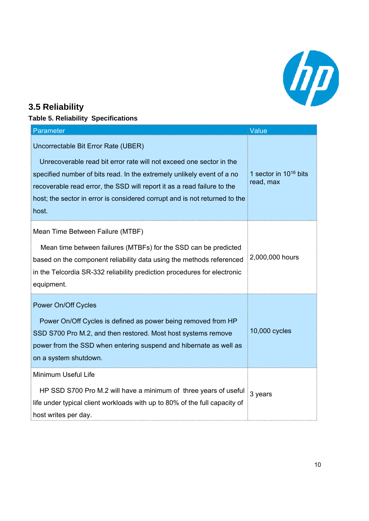

## **3.5 Reliability**

## **Table 5. Reliability Specifications**

| Parameter                                                                                                                                                                                                                                                                                                                                              | Value                                   |
|--------------------------------------------------------------------------------------------------------------------------------------------------------------------------------------------------------------------------------------------------------------------------------------------------------------------------------------------------------|-----------------------------------------|
| Uncorrectable Bit Error Rate (UBER)<br>Unrecoverable read bit error rate will not exceed one sector in the<br>specified number of bits read. In the extremely unlikely event of a no<br>recoverable read error, the SSD will report it as a read failure to the<br>host; the sector in error is considered corrupt and is not returned to the<br>host. | 1 sector in $10^{16}$ bits<br>read, max |
| Mean Time Between Failure (MTBF)<br>Mean time between failures (MTBFs) for the SSD can be predicted<br>based on the component reliability data using the methods referenced<br>in the Telcordia SR-332 reliability prediction procedures for electronic<br>equipment.                                                                                  | 2,000,000 hours                         |
| Power On/Off Cycles<br>Power On/Off Cycles is defined as power being removed from HP<br>SSD S700 Pro M.2, and then restored. Most host systems remove<br>power from the SSD when entering suspend and hibernate as well as<br>on a system shutdown.                                                                                                    | 10,000 cycles                           |
| Minimum Useful Life<br>HP SSD S700 Pro M.2 will have a minimum of three years of useful<br>life under typical client workloads with up to 80% of the full capacity of<br>host writes per day.                                                                                                                                                          | 3 years                                 |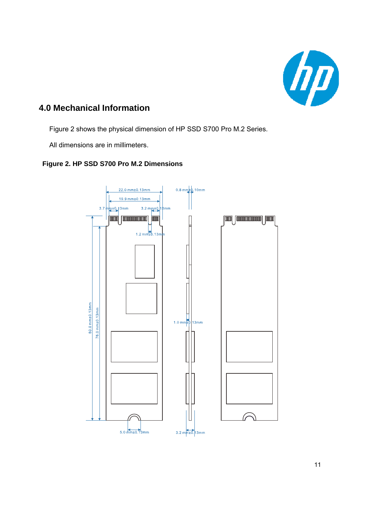

## **4.0 Mechanical Information**

Figure 2 shows the physical dimension of HP SSD S700 Pro M.2 Series.

All dimensions are in millimeters.

#### **Figure 2 HP SSD S700 Pro M 2 Dimensions Figure 2. HP SSD Pro M.2**

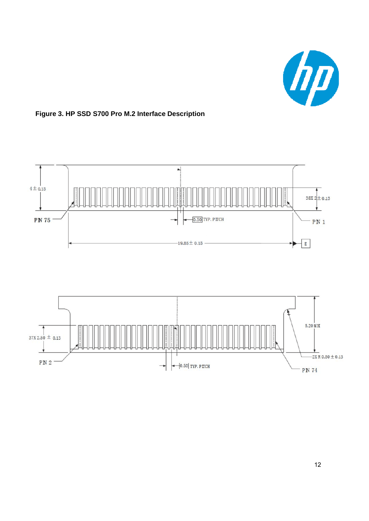



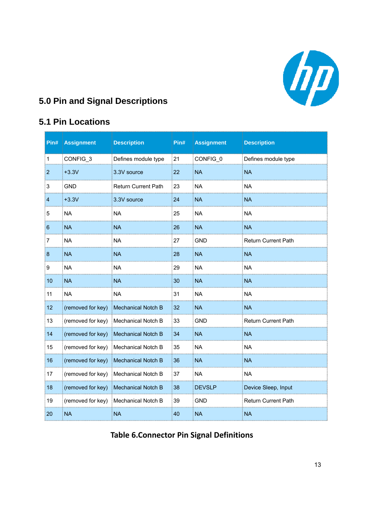

## **5 0 Pin and Signal Descriptions 5.0 Pin and**

## **5.1 Pin Locations**

| Pin#           | <b>Assignment</b> | <b>Description</b>         | Pin# | <b>Assignment</b> | <b>Description</b>         |
|----------------|-------------------|----------------------------|------|-------------------|----------------------------|
| $\overline{1}$ | CONFIG_3          | Defines module type        | 21   | CONFIG_0          | Defines module type        |
| 2              | $+3.3V$           | 3.3V source                | 22   | <b>NA</b>         | <b>NA</b>                  |
| 3              | <b>GND</b>        | <b>Return Current Path</b> | 23   | <b>NA</b>         | <b>NA</b>                  |
| 4              | $+3.3V$           | 3.3V source                | 24   | <b>NA</b>         | <b>NA</b>                  |
| 5              | <b>NA</b>         | <b>NA</b>                  | 25   | <b>NA</b>         | <b>NA</b>                  |
| 6              | <b>NA</b>         | <b>NA</b>                  | 26   | <b>NA</b>         | <b>NA</b>                  |
| 7              | <b>NA</b>         | <b>NA</b>                  | 27   | <b>GND</b>        | Return Current Path        |
| 8              | <b>NA</b>         | <b>NA</b>                  | 28   | <b>NA</b>         | <b>NA</b>                  |
| 9              | <b>NA</b>         | <b>NA</b>                  | 29   | <b>NA</b>         | <b>NA</b>                  |
| 10             | <b>NA</b>         | <b>NA</b>                  | 30   | <b>NA</b>         | <b>NA</b>                  |
| 11             | <b>NA</b>         | <b>NA</b>                  | 31   | <b>NA</b>         | <b>NA</b>                  |
| 12             | (removed for key) | Mechanical Notch B         | 32   | <b>NA</b>         | <b>NA</b>                  |
| 13             | (removed for key) | <b>Mechanical Notch B</b>  | 33   | <b>GND</b>        | <b>Return Current Path</b> |
| 14             | (removed for key) | <b>Mechanical Notch B</b>  | 34   | <b>NA</b>         | <b>NA</b>                  |
| 15             | (removed for key) | Mechanical Notch B         | 35   | <b>NA</b>         | <b>NA</b>                  |
| 16             | (removed for key) | <b>Mechanical Notch B</b>  | 36   | <b>NA</b>         | <b>NA</b>                  |
| 17             | (removed for key) | <b>Mechanical Notch B</b>  | 37   | <b>NA</b>         | <b>NA</b>                  |
| 18             | (removed for key) | Mechanical Notch B         | 38   | <b>DEVSLP</b>     | Device Sleep, Input        |
| 19             | (removed for key) | Mechanical Notch B         | 39   | <b>GND</b>        | Return Current Path        |
| 20             | <b>NA</b>         | <b>NA</b>                  | 40   | <b>NA</b>         | <b>NA</b>                  |

**Table 6.Connector Pin Signal Definitions**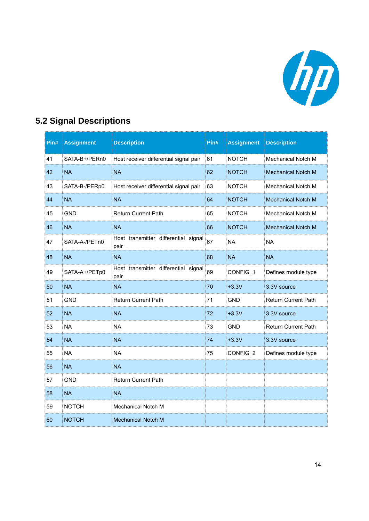

## **5.2 Signal Descriptions**

| Pin# | <b>Assignment</b> | <b>Description</b>                           | $P$ in# | <b>Assignment</b> | <b>Description</b>         |
|------|-------------------|----------------------------------------------|---------|-------------------|----------------------------|
| 41   | SATA-B+/PERn0     | Host receiver differential signal pair       | 61      | <b>NOTCH</b>      | Mechanical Notch M         |
| 42   | <b>NA</b>         | <b>NA</b>                                    | 62      | <b>NOTCH</b>      | <b>Mechanical Notch M</b>  |
| 43   | SATA-B-/PERp0     | Host receiver differential signal pair       | 63      | <b>NOTCH</b>      | <b>Mechanical Notch M</b>  |
| 44   | <b>NA</b>         | <b>NA</b>                                    | 64      | <b>NOTCH</b>      | Mechanical Notch M         |
| 45   | <b>GND</b>        | <b>Return Current Path</b>                   | 65      | <b>NOTCH</b>      | <b>Mechanical Notch M</b>  |
| 46   | <b>NA</b>         | <b>NA</b>                                    | 66      | <b>NOTCH</b>      | <b>Mechanical Notch M</b>  |
| 47   | SATA-A-/PETn0     | Host transmitter differential signal<br>pair | 67      | <b>NA</b>         | <b>NA</b>                  |
| 48   | <b>NA</b>         | <b>NA</b>                                    | 68      | <b>NA</b>         | <b>NA</b>                  |
| 49   | SATA-A+/PETp0     | Host transmitter differential signal<br>pair | 69      | CONFIG_1          | Defines module type        |
| 50   | <b>NA</b>         | <b>NA</b>                                    | 70      | $+3.3V$           | 3.3V source                |
| 51   | <b>GND</b>        | Return Current Path                          | 71      | <b>GND</b>        | <b>Return Current Path</b> |
| 52   | <b>NA</b>         | <b>NA</b>                                    | 72      | $+3.3V$           | 3.3V source                |
| 53   | <b>NA</b>         | <b>NA</b>                                    | 73      | <b>GND</b>        | <b>Return Current Path</b> |
| 54   | <b>NA</b>         | NA                                           | 74      | $+3.3V$           | 3.3V source                |
| 55   | <b>NA</b>         | <b>NA</b>                                    | 75      | CONFIG 2          | Defines module type        |
| 56   | <b>NA</b>         | <b>NA</b>                                    |         |                   |                            |
| 57   | GND               | <b>Return Current Path</b>                   |         |                   |                            |
| 58   | <b>NA</b>         | <b>NA</b>                                    |         |                   |                            |
| 59   | <b>NOTCH</b>      | Mechanical Notch M                           |         |                   |                            |
| 60   | <b>NOTCH</b>      | <b>Mechanical Notch M</b>                    |         |                   |                            |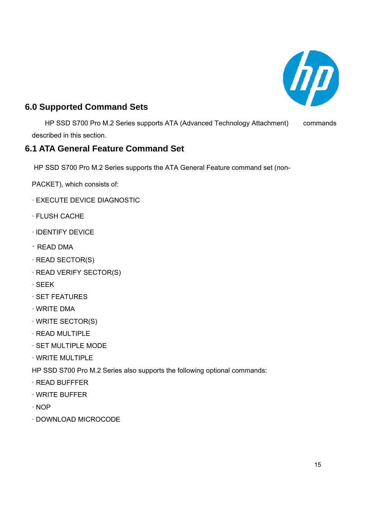

## **6.0 Supported Command Sets**

HP SSD S700 Pro M.2 Series supports ATA (Advanced Technology Attachment) commands described in this section.

#### **6.1 ATA General Feature Command Set**

HP SSD S700 Pro M.2 Series supports the ATA General Feature command set (non-

- PACKET), which consists of:
- · EXECUTE DEVICE DIAGNOSTIC
- · FLUSH CACHE
- · IDENTIFY DEVICE
- · READ DMA
- · READ SECTOR(S)
- · READ VERIFY SECTOR(S)
- · SEEK
- · SET FEATURES
- · WRITE DMA
- · WRITE SECTOR(S)
- · READ MULTIPLE
- · SET MULTIPLE MODE
- $\cdot$  WRITE MULTIPLE

HP SSD S700 Pro M.2 Series also supports the following optional commands:

- · READ BUFFFER
- · WRITE BUFFER
- · NOP
- · DOWNLOAD MICROCODE · DOWNLOAD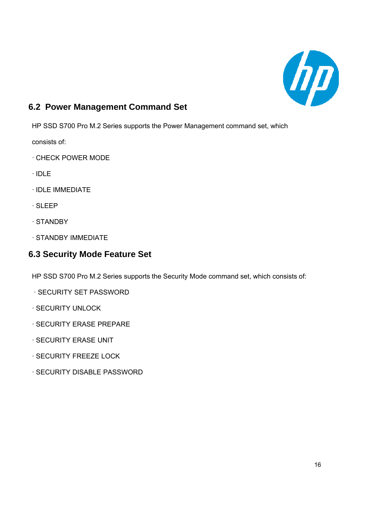

## **6.2 Power Management Command Set**

HP SSD S700 Pro M.2 Series supports the Power Management command set, which

consists of:

- · CHECK POWER MODE
- · IDLE
- · IDLE IMMEDIATE
- · SLEEP
- · STANDBY
- · STANDBY IMMEDIATE

## **6.3 Security Mode Feature Set**

HP SSD S700 Pro M.2 Series supports the Security Mode command set, which consists of:

- · SECURITY SET PASSWORD · SECURITY SET
- · SECURITY UNLOCK
- · SECURITY ERASE PREPARE
- · SECURITY ERASE UNIT
- $\cdot$  SECURITY FREEZE LOCK
- · SECURITY DISABLE PASSWORD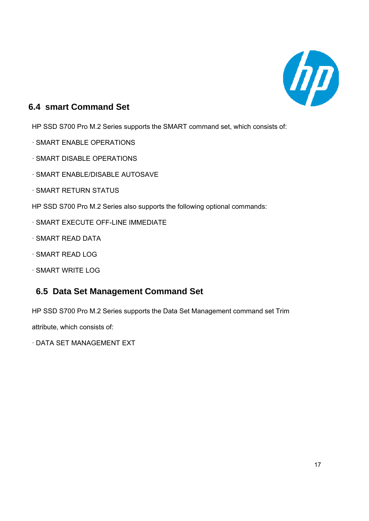

## **6.4 smart Command Set**

HP SSD S700 Pro M.2 Series supports the SMART command set, which consists of:

- · SMART ENABLE OPERATIONS
- · SMART DISABLE OPERATIONS
- · SMART ENABLE/DISABLE AUTOSAVE
- · SMART RETURN STATUS
- HP SSD S700 Pro M.2 Series also supports the following optional commands:
- · SMART EXECUTE OFF-LINE IMMEDIATE
- · SMART READ DATA
- · SMART READ LOG
- · SMART WRITE LOG

#### **6 5 Data Set Management Command Set 6.5 Data Set Management Command**

HP SSD S700 Pro M.2 Series supports the Data Set Management command set Trim

attribute, which consists of:

· DATA SET MANAGEMENT EXT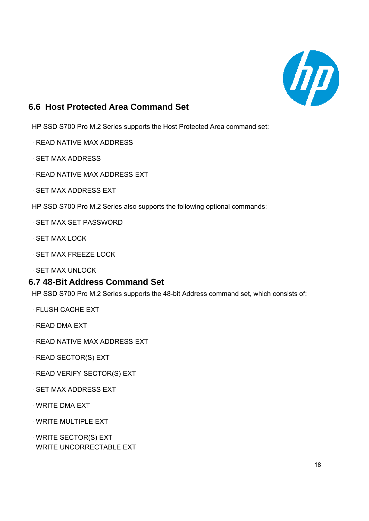

## **6.6 Host Protected Area Command Set**

HP SSD S700 Pro M.2 Series supports the Host Protected Area command set:

- · READ NATIVE MAX ADDRESS
- · SET MAX ADDRESS
- · READ NATIVE MAX ADDRESS EXT
- · SET MAX ADDRESS EXT
- HP SSD S700 Pro M.2 Series also supports the following optional commands:
- · SET MAX SET PASSWORD
- · SET MAX LOCK
- · SET MAX FREEZE LOCK
- · SET MAX UNLOCK

#### **6.7 48-Bit Address Command Set**

HP SSD S700 Pro M.2 Series supports the 48-bit Address command set, which consists of:

- · FLUSH CACHE EXT
- · READ DMA EXT
- · READ NATIVE MAX ADDRESS EXT
- $\cdot$  READ SECTOR(S) EXT
- · READ VERIFY SECTOR(S) EXT
- · SET MAX ADDRESS EXT
- · WRITE DMA EXT
- WRITE MULTIPLE EXT · MULTIPLE
- · WRITE SECTOR(S) EXT
- · WRITE UNCORRECTABLE EXT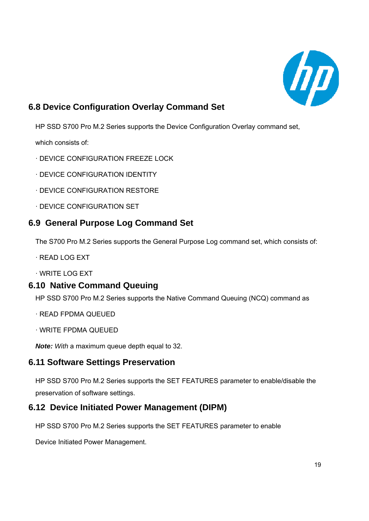

## **6.8 Device Configuration Overlay Command Set**

HP SSD S700 Pro M.2 Series supports the Device Configuration Overlay command set,

which consists of:

- · DEVICE CONFIGURATION FREEZE LOCK
- · DEVICE CONFIGURATION IDENTITY
- · DEVICE CONFIGURATION RESTORE
- · DEVICE CONFIGURATION SET

## **6.9 General Purpose Log Command Set**

The S700 Pro M.2 Series supports the General Purpose Log command set, which consists of:

· READ LOG EXT

· WRITE LOG EXT

#### **6.10 Native Command Queuing**

HP SSD S700 Pro M.2 Series supports the Native Command Queuing (NCQ) command as

- · READ FPDMA QUEUED
- · WRITE FPDMA QUEUED

*Note: With* a maximum queue depth equal to 32.

#### **6.11 Software Settings Preservation**

HP SSD S700 Pro M.2 Series supports the SET FEATURES parameter to enable/disable the preservation of software settings.

#### **6.12 Device Initiated Power Management (DIPM)**

HP SSD S700 Pro M.2 Series supports the SET FEATURES parameter to enable

Device Initiated Power Management.